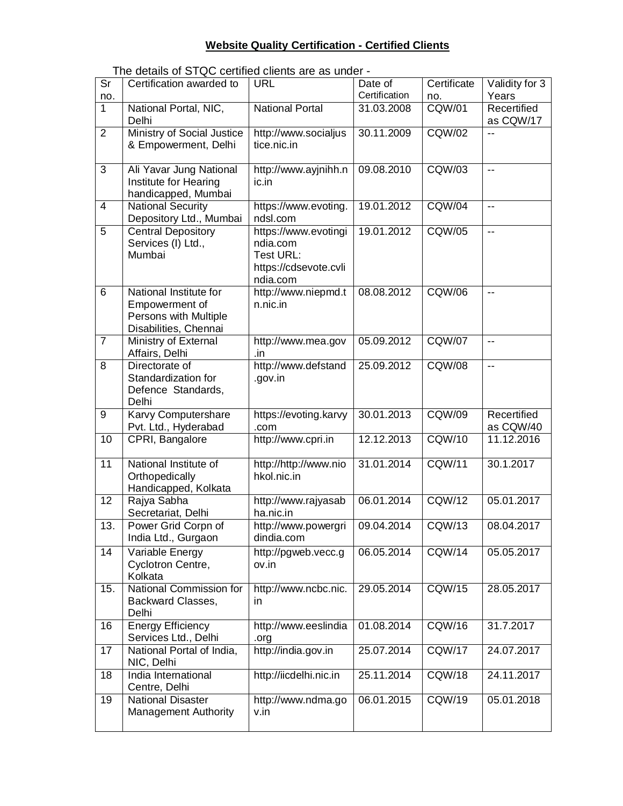## **Website Quality Certification - Certified Clients**

The details of STQC certified clients are as under -

| $\overline{\mathsf{Sr}}$<br>no. | Certification awarded to                                                                   | <b>URL</b>                                                                         | Date of<br>Certification | Certificate<br>no. | Validity for 3<br>Years  |
|---------------------------------|--------------------------------------------------------------------------------------------|------------------------------------------------------------------------------------|--------------------------|--------------------|--------------------------|
| 1                               | National Portal, NIC,<br>Delhi                                                             | <b>National Portal</b>                                                             | 31.03.2008               | <b>CQW/01</b>      | Recertified<br>as CQW/17 |
| $\overline{2}$                  | <b>Ministry of Social Justice</b><br>& Empowerment, Delhi                                  | http://www.socialjus<br>tice.nic.in                                                | 30.11.2009               | <b>CQW/02</b>      |                          |
| 3                               | Ali Yavar Jung National<br>Institute for Hearing<br>handicapped, Mumbai                    | http://www.ayjnihh.n<br>ic.in                                                      | 09.08.2010               | <b>CQW/03</b>      | $\mathbf{u}$             |
| 4                               | <b>National Security</b><br>Depository Ltd., Mumbai                                        | https://www.evoting.<br>ndsl.com                                                   | 19.01.2012               | CQW/04             | $\mathbf{u}$             |
| 5                               | <b>Central Depository</b><br>Services (I) Ltd.,<br>Mumbai                                  | https://www.evotingi<br>ndia.com<br>Test URL:<br>https://cdsevote.cvli<br>ndia.com | 19.01.2012               | <b>CQW/05</b>      | $\overline{\phantom{a}}$ |
| 6                               | National Institute for<br>Empowerment of<br>Persons with Multiple<br>Disabilities, Chennai | http://www.niepmd.t<br>n.nic.in                                                    | 08.08.2012               | <b>CQW/06</b>      | $\mathbf{u}$             |
| $\overline{7}$                  | Ministry of External<br>Affairs, Delhi                                                     | http://www.mea.gov<br>.in                                                          | 05.09.2012               | <b>CQW/07</b>      | $\mathbf{u}$             |
| 8                               | Directorate of<br>Standardization for<br>Defence Standards,<br>Delhi                       | http://www.defstand<br>.gov.in                                                     | 25.09.2012               | CQW/08             | $\mathbf{u}$             |
| 9                               | Karvy Computershare<br>Pvt. Ltd., Hyderabad                                                | https://evoting.karvy<br>.com                                                      | 30.01.2013               | <b>CQW/09</b>      | Recertified<br>as CQW/40 |
| $\overline{10}$                 | CPRI, Bangalore                                                                            | http://www.cpri.in                                                                 | 12.12.2013               | <b>CQW/10</b>      | 11.12.2016               |
| 11                              | National Institute of<br>Orthopedically<br>Handicapped, Kolkata                            | http://http://www.nio<br>hkol.nic.in                                               | 31.01.2014               | <b>CQW/11</b>      | 30.1.2017                |
| $\overline{12}$                 | Rajya Sabha<br>Secretariat, Delhi                                                          | http://www.rajyasab<br>ha.nic.in                                                   | 06.01.2014               | <b>CQW/12</b>      | 05.01.2017               |
| 13.                             | Power Grid Corpn of<br>India Ltd., Gurgaon                                                 | http://www.powergri<br>dindia.com                                                  | 09.04.2014               | CQW/13             | 08.04.2017               |
| 14                              | Variable Energy<br>Cyclotron Centre,<br>Kolkata                                            | http://pgweb.vecc.g<br>ov.in                                                       | 06.05.2014               | <b>CQW/14</b>      | 05.05.2017               |
| 15.                             | National Commission for<br>Backward Classes,<br>Delhi                                      | http://www.ncbc.nic.<br>in.                                                        | 29.05.2014               | <b>CQW/15</b>      | 28.05.2017               |
| 16                              | <b>Energy Efficiency</b><br>Services Ltd., Delhi                                           | http://www.eeslindia<br>.org                                                       | 01.08.2014               | <b>CQW/16</b>      | 31.7.2017                |
| 17                              | National Portal of India,<br>NIC, Delhi                                                    | http://india.gov.in                                                                | 25.07.2014               | <b>CQW/17</b>      | 24.07.2017               |
| 18                              | India International<br>Centre, Delhi                                                       | http://iicdelhi.nic.in                                                             | 25.11.2014               | <b>CQW/18</b>      | 24.11.2017               |
| 19                              | <b>National Disaster</b><br><b>Management Authority</b>                                    | http://www.ndma.go<br>v.in                                                         | 06.01.2015               | <b>CQW/19</b>      | 05.01.2018               |